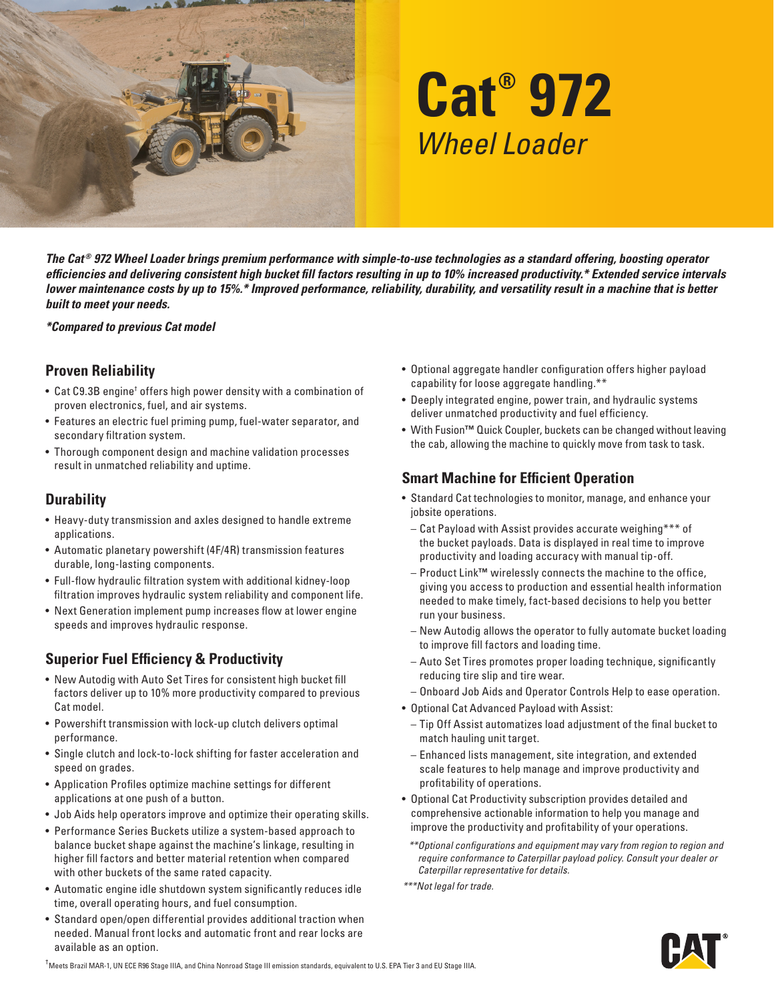

# **Cat® 972** *Wheel Loader*

*The Cat ® 972 Wheel Loader brings premium performance with simple-to-use technologies as a standard offering, boosting operator efficiencies and delivering consistent high bucket fill factors resulting in up to 10% increased productivity.\* Extended service intervals lower maintenance costs by up to 15%.\* Improved performance, reliability, durability, and versatility result in a machine that is better built to meet your needs.*

*\*Compared to previous Cat model*

#### **Proven Reliability**

- Cat C9.3B engine<sup>†</sup> offers high power density with a combination of proven electronics, fuel, and air systems.
- Features an electric fuel priming pump, fuel-water separator, and secondary filtration system.
- Thorough component design and machine validation processes result in unmatched reliability and uptime.

#### **Durability**

- Heavy-duty transmission and axles designed to handle extreme applications.
- Automatic planetary powershift (4F/4R) transmission features durable, long-lasting components.
- Full-flow hydraulic filtration system with additional kidney-loop filtration improves hydraulic system reliability and component life.
- Next Generation implement pump increases flow at lower engine speeds and improves hydraulic response.

## **Superior Fuel Efficiency & Productivity**

- New Autodig with Auto Set Tires for consistent high bucket fill factors deliver up to 10% more productivity compared to previous Cat model.
- Powershift transmission with lock-up clutch delivers optimal performance.
- Single clutch and lock-to-lock shifting for faster acceleration and speed on grades.
- Application Profiles optimize machine settings for different applications at one push of a button.
- Job Aids help operators improve and optimize their operating skills.
- Performance Series Buckets utilize a system-based approach to balance bucket shape against the machine's linkage, resulting in higher fill factors and better material retention when compared with other buckets of the same rated capacity.
- Automatic engine idle shutdown system significantly reduces idle time, overall operating hours, and fuel consumption.
- Standard open/open differential provides additional traction when needed. Manual front locks and automatic front and rear locks are available as an option.
- Optional aggregate handler configuration offers higher payload capability for loose aggregate handling.\*\*
- Deeply integrated engine, power train, and hydraulic systems deliver unmatched productivity and fuel efficiency.
- With Fusion**™** Quick Coupler, buckets can be changed without leaving the cab, allowing the machine to quickly move from task to task.

## **Smart Machine for Efficient Operation**

- Standard Cat technologies to monitor, manage, and enhance your jobsite operations.
	- Cat Payload with Assist provides accurate weighing\*\*\* of the bucket payloads. Data is displayed in real time to improve productivity and loading accuracy with manual tip-off.
	- Product Link**™** wirelessly connects the machine to the office, giving you access to production and essential health information needed to make timely, fact-based decisions to help you better run your business.
	- New Autodig allows the operator to fully automate bucket loading to improve fill factors and loading time.
	- Auto Set Tires promotes proper loading technique, significantly reducing tire slip and tire wear.
	- Onboard Job Aids and Operator Controls Help to ease operation.
- Optional Cat Advanced Payload with Assist:
	- Tip Off Assist automatizes load adjustment of the final bucket to match hauling unit target.
- Enhanced lists management, site integration, and extended scale features to help manage and improve productivity and profitability of operations.
- Optional Cat Productivity subscription provides detailed and comprehensive actionable information to help you manage and improve the productivity and profitability of your operations.
- *\*\*Optional configurations and equipment may vary from region to region and require conformance to Caterpillar payload policy. Consult your dealer or Caterpillar representative for details.*

*\*\*\*Not legal for trade.*



† Meets Brazil MAR-1, UN ECE R96 Stage IIIA, and China Nonroad Stage III emission standards, equivalent to U.S. EPA Tier 3 and EU Stage IIIA.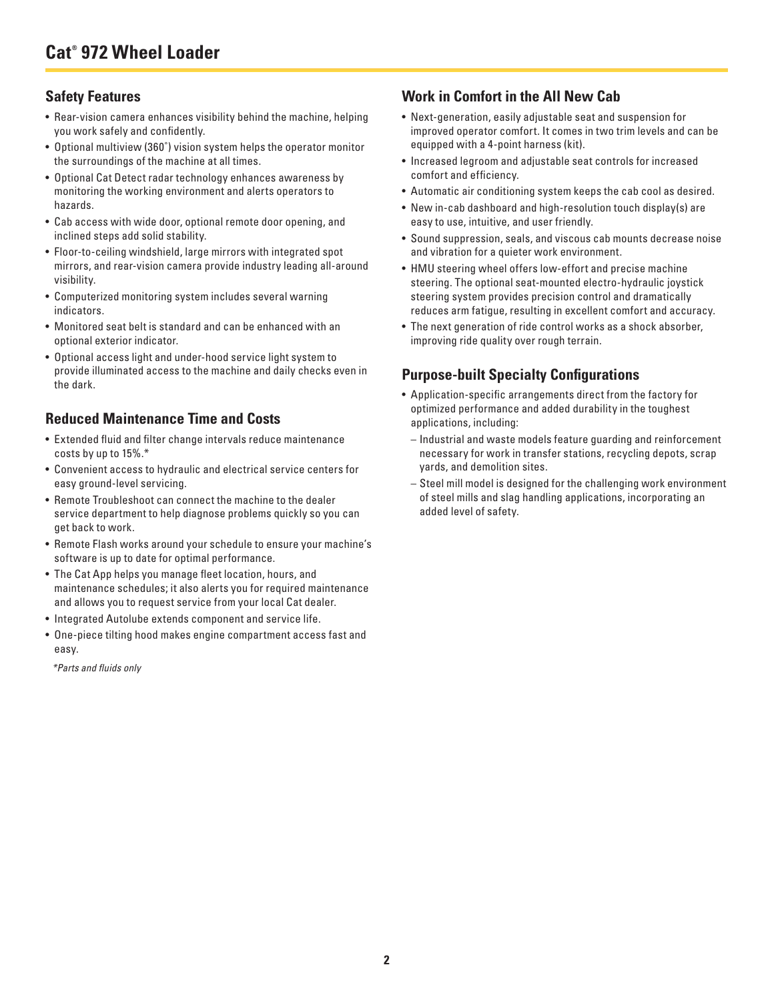## **Safety Features**

- Rear-vision camera enhances visibility behind the machine, helping you work safely and confidently.
- Optional multiview (360˚) vision system helps the operator monitor the surroundings of the machine at all times.
- Optional Cat Detect radar technology enhances awareness by monitoring the working environment and alerts operators to hazards.
- Cab access with wide door, optional remote door opening, and inclined steps add solid stability.
- Floor-to-ceiling windshield, large mirrors with integrated spot mirrors, and rear-vision camera provide industry leading all-around visibility.
- Computerized monitoring system includes several warning indicators.
- Monitored seat belt is standard and can be enhanced with an optional exterior indicator.
- Optional access light and under-hood service light system to provide illuminated access to the machine and daily checks even in the dark.

#### **Reduced Maintenance Time and Costs**

- Extended fluid and filter change intervals reduce maintenance costs by up to 15%.\*
- Convenient access to hydraulic and electrical service centers for easy ground-level servicing.
- Remote Troubleshoot can connect the machine to the dealer service department to help diagnose problems quickly so you can get back to work.
- Remote Flash works around your schedule to ensure your machine's software is up to date for optimal performance.
- The Cat App helps you manage fleet location, hours, and maintenance schedules; it also alerts you for required maintenance and allows you to request service from your local Cat dealer.
- Integrated Autolube extends component and service life.
- One-piece tilting hood makes engine compartment access fast and easy.

*\*Parts and fluids only*

## **Work in Comfort in the All New Cab**

- Next-generation, easily adjustable seat and suspension for improved operator comfort. It comes in two trim levels and can be equipped with a 4-point harness (kit).
- Increased legroom and adjustable seat controls for increased comfort and efficiency.
- Automatic air conditioning system keeps the cab cool as desired.
- New in-cab dashboard and high-resolution touch display(s) are easy to use, intuitive, and user friendly.
- Sound suppression, seals, and viscous cab mounts decrease noise and vibration for a quieter work environment.
- HMU steering wheel offers low-effort and precise machine steering. The optional seat-mounted electro-hydraulic joystick steering system provides precision control and dramatically reduces arm fatigue, resulting in excellent comfort and accuracy.
- The next generation of ride control works as a shock absorber, improving ride quality over rough terrain.

## **Purpose-built Specialty Configurations**

- Application-specific arrangements direct from the factory for optimized performance and added durability in the toughest applications, including:
	- Industrial and waste models feature guarding and reinforcement necessary for work in transfer stations, recycling depots, scrap yards, and demolition sites.
	- Steel mill model is designed for the challenging work environment of steel mills and slag handling applications, incorporating an added level of safety.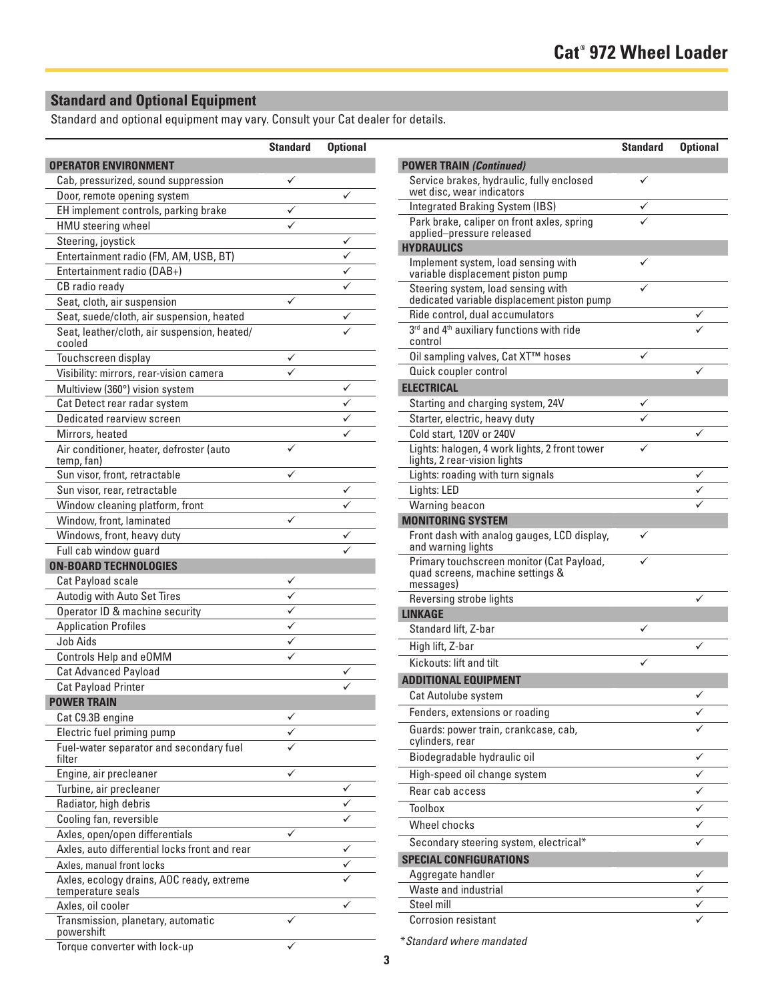# **Standard and Optional Equipment**

Standard and optional equipment may vary. Consult your Cat dealer for details.

|                                                                | <b>Standard</b> | <b>Optional</b> |
|----------------------------------------------------------------|-----------------|-----------------|
| <b>OPERATOR ENVIRONMENT</b>                                    |                 |                 |
| Cab, pressurized, sound suppression                            |                 |                 |
| Door, remote opening system                                    |                 |                 |
| EH implement controls, parking brake                           |                 |                 |
| HMU steering wheel                                             |                 |                 |
| Steering, joystick                                             |                 |                 |
| Entertainment radio (FM, AM, USB, BT)                          |                 |                 |
| Entertainment radio (DAB+)                                     |                 |                 |
| CB radio ready                                                 |                 |                 |
| Seat, cloth, air suspension                                    |                 |                 |
| Seat, suede/cloth, air suspension, heated                      |                 |                 |
| Seat, leather/cloth, air suspension, heated/<br>cooled         |                 |                 |
| Touchscreen display                                            |                 |                 |
| Visibility: mirrors, rear-vision camera                        |                 |                 |
| Multiview (360°) vision system                                 |                 | ✓               |
| Cat Detect rear radar system                                   |                 |                 |
| Dedicated rearview screen                                      |                 |                 |
| Mirrors, heated                                                |                 |                 |
| Air conditioner, heater, defroster (auto<br>temp, fan)         | ✓               |                 |
| Sun visor, front, retractable                                  |                 |                 |
| Sun visor, rear, retractable                                   |                 |                 |
| Window cleaning platform, front                                |                 |                 |
| Window, front, laminated                                       | ✓               |                 |
| Windows, front, heavy duty                                     |                 |                 |
| Full cab window guard                                          |                 |                 |
| <b>ON-BOARD TECHNOLOGIES</b>                                   |                 |                 |
| Cat Payload scale                                              |                 |                 |
| Autodig with Auto Set Tires                                    |                 |                 |
| Operator ID & machine security                                 |                 |                 |
| <b>Application Profiles</b>                                    |                 |                 |
| Job Aids                                                       |                 |                 |
| Controls Help and eOMM                                         |                 |                 |
| <b>Cat Advanced Payload</b>                                    |                 |                 |
| <b>Cat Payload Printer</b>                                     |                 |                 |
| <b>POWER TRAIN</b>                                             |                 |                 |
| Cat C9.3B engine                                               |                 |                 |
| Electric fuel priming pump                                     |                 |                 |
| Fuel-water separator and secondary fuel<br>filter              |                 |                 |
| Engine, air precleaner                                         |                 |                 |
| Turbine, air precleaner                                        |                 |                 |
| Radiator, high debris                                          |                 |                 |
| Cooling fan, reversible                                        |                 |                 |
| Axles, open/open differentials                                 |                 |                 |
| Axles, auto differential locks front and rear                  |                 |                 |
| Axles, manual front locks                                      |                 |                 |
| Axles, ecology drains, AOC ready, extreme<br>temperature seals |                 |                 |
| Axles, oil cooler                                              |                 |                 |
| Transmission, planetary, automatic<br>powershift               |                 |                 |
| Torque converter with lock-up                                  |                 |                 |

| <b>Standard</b> | <b>Optional</b> |                                                                                            | <b>Standard</b> | <b>Optional</b> |
|-----------------|-----------------|--------------------------------------------------------------------------------------------|-----------------|-----------------|
|                 |                 | <b>POWER TRAIN (Continued)</b>                                                             |                 |                 |
| ✓               | ✓               | Service brakes, hydraulic, fully enclosed<br>wet disc, wear indicators                     | ✓               |                 |
| ✓               |                 | Integrated Braking System (IBS)                                                            |                 |                 |
| ✓               |                 | Park brake, caliper on front axles, spring<br>applied-pressure released                    |                 |                 |
|                 | ✓               | <b>HYDRAULICS</b>                                                                          |                 |                 |
|                 | ✓               | Implement system, load sensing with                                                        |                 |                 |
|                 | ✓               | variable displacement piston pump                                                          |                 |                 |
| ✓               |                 | Steering system, load sensing with<br>dedicated variable displacement piston pump          |                 |                 |
|                 | ✓               | Ride control, dual accumulators                                                            |                 |                 |
|                 |                 | 3rd and 4th auxiliary functions with ride<br>control                                       |                 |                 |
| ✓               |                 | Oil sampling valves, Cat XT™ hoses                                                         | ✓               |                 |
| ✓               |                 | Quick coupler control                                                                      |                 | ✓               |
|                 | ✓               | <b>ELECTRICAL</b>                                                                          |                 |                 |
|                 | ✓               | Starting and charging system, 24V                                                          | ✓               |                 |
|                 | ✓               | Starter, electric, heavy duty                                                              |                 |                 |
|                 | ✓               | Cold start, 120V or 240V                                                                   |                 | ✓               |
| ✓               |                 | Lights: halogen, 4 work lights, 2 front tower<br>lights, 2 rear-vision lights              | ✓               |                 |
| ✓               |                 | Lights: roading with turn signals                                                          |                 | ✓               |
|                 | ✓               | Lights: LED                                                                                |                 | ✓               |
|                 | ✓               | Warning beacon                                                                             |                 |                 |
| ✓               |                 | <b>MONITORING SYSTEM</b>                                                                   |                 |                 |
|                 |                 | Front dash with analog gauges, LCD display,<br>and warning lights                          |                 |                 |
| ✓               |                 | Primary touchscreen monitor (Cat Payload,<br>quad screens, machine settings &<br>messages) |                 |                 |
| ✓               |                 | Reversing strobe lights                                                                    |                 | ✓               |
| ✓               |                 | <b>LINKAGE</b>                                                                             |                 |                 |
| ✓               |                 | Standard lift, Z-bar                                                                       | ✓               |                 |
| ✓               |                 | High lift, Z-bar                                                                           |                 |                 |
| ✓               |                 | Kickouts: lift and tilt                                                                    |                 |                 |
|                 |                 | <b>ADDITIONAL EQUIPMENT</b>                                                                |                 |                 |
|                 | ✓               | Cat Autolube system                                                                        |                 | ✓               |
|                 |                 | Fenders, extensions or roading                                                             |                 | ✓               |
| ✓               |                 | Guards: power train, crankcase, cab,                                                       |                 |                 |
|                 |                 | cylinders, rear                                                                            |                 |                 |
|                 |                 | Biodegradable hydraulic oil                                                                |                 | ✓               |
| ✓               |                 | High-speed oil change system                                                               |                 | ✓               |
|                 | ✓<br>✓          | Rear cab access                                                                            |                 | ✓               |
|                 | ✓               | <b>Toolbox</b>                                                                             |                 | ✓               |
| ✓               |                 | Wheel chocks                                                                               |                 | ✓               |
|                 | ✓               | Secondary steering system, electrical*                                                     |                 | ✓               |
|                 | ✓               | <b>SPECIAL CONFIGURATIONS</b>                                                              |                 |                 |
|                 |                 | Aggregate handler                                                                          |                 |                 |
|                 |                 | Waste and industrial                                                                       |                 | ✓               |
|                 | ✓               | Steel mill                                                                                 |                 |                 |
|                 |                 | Corrosion resistant                                                                        |                 |                 |

\**Standard where mandated*